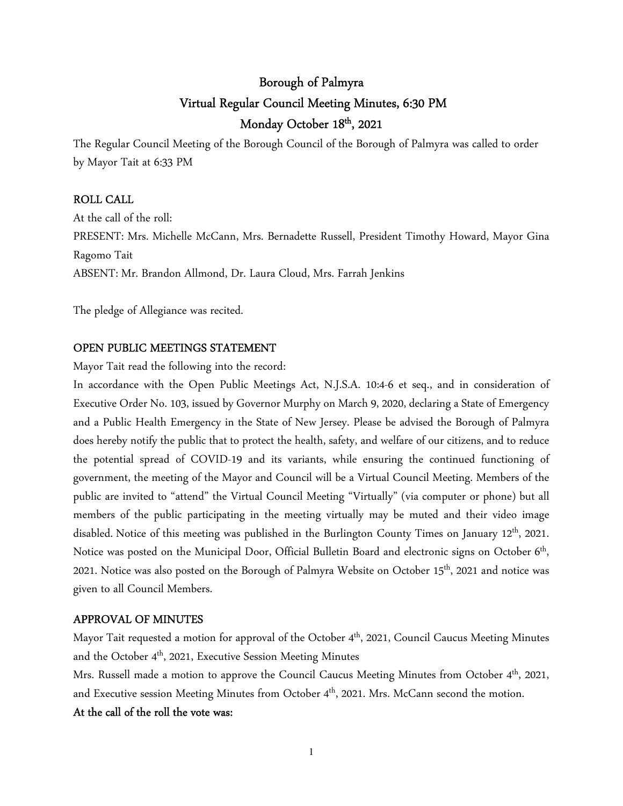# Borough of Palmyra Virtual Regular Council Meeting Minutes, 6:30 PM Monday October 18th, 2021

The Regular Council Meeting of the Borough Council of the Borough of Palmyra was called to order by Mayor Tait at 6:33 PM

### ROLL CALL

At the call of the roll: PRESENT: Mrs. Michelle McCann, Mrs. Bernadette Russell, President Timothy Howard, Mayor Gina Ragomo Tait ABSENT: Mr. Brandon Allmond, Dr. Laura Cloud, Mrs. Farrah Jenkins

The pledge of Allegiance was recited.

### OPEN PUBLIC MEETINGS STATEMENT

Mayor Tait read the following into the record:

In accordance with the Open Public Meetings Act, N.J.S.A. 10:4-6 et seq., and in consideration of Executive Order No. 103, issued by Governor Murphy on March 9, 2020, declaring a State of Emergency and a Public Health Emergency in the State of New Jersey. Please be advised the Borough of Palmyra does hereby notify the public that to protect the health, safety, and welfare of our citizens, and to reduce the potential spread of COVID-19 and its variants, while ensuring the continued functioning of government, the meeting of the Mayor and Council will be a Virtual Council Meeting. Members of the public are invited to "attend" the Virtual Council Meeting "Virtually" (via computer or phone) but all members of the public participating in the meeting virtually may be muted and their video image disabled. Notice of this meeting was published in the Burlington County Times on January 12<sup>th</sup>, 2021. Notice was posted on the Municipal Door, Official Bulletin Board and electronic signs on October 6<sup>th</sup>, 2021. Notice was also posted on the Borough of Palmyra Website on October 15<sup>th</sup>, 2021 and notice was given to all Council Members.

#### APPROVAL OF MINUTES

Mayor Tait requested a motion for approval of the October 4<sup>th</sup>, 2021, Council Caucus Meeting Minutes and the October 4<sup>th</sup>, 2021, Executive Session Meeting Minutes

Mrs. Russell made a motion to approve the Council Caucus Meeting Minutes from October 4<sup>th</sup>, 2021, and Executive session Meeting Minutes from October 4<sup>th</sup>, 2021. Mrs. McCann second the motion.

#### At the call of the roll the vote was: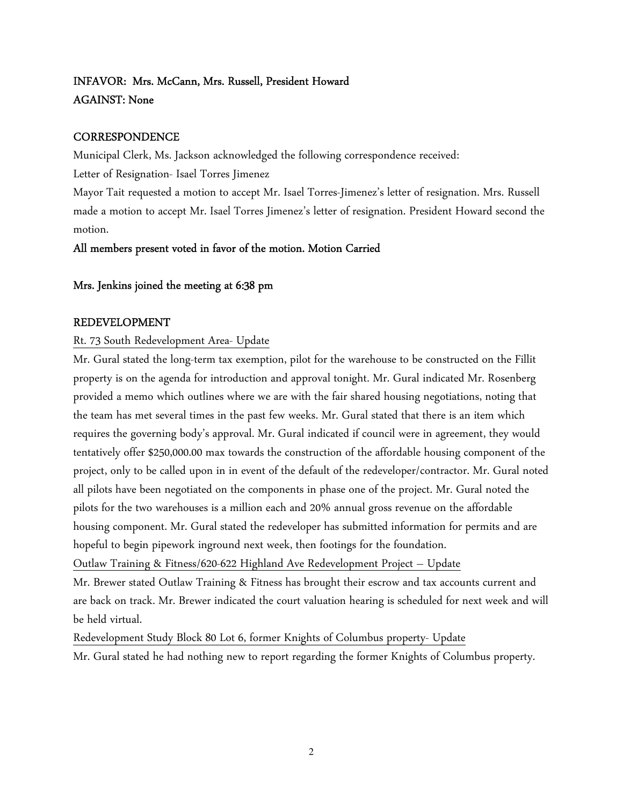# INFAVOR: Mrs. McCann, Mrs. Russell, President Howard AGAINST: None

## **CORRESPONDENCE**

Municipal Clerk, Ms. Jackson acknowledged the following correspondence received:

Letter of Resignation- Isael Torres Jimenez

Mayor Tait requested a motion to accept Mr. Isael Torres-Jimenez's letter of resignation. Mrs. Russell made a motion to accept Mr. Isael Torres Jimenez's letter of resignation. President Howard second the motion.

# All members present voted in favor of the motion. Motion Carried

# Mrs. Jenkins joined the meeting at 6:38 pm

# REDEVELOPMENT

# Rt. 73 South Redevelopment Area- Update

Mr. Gural stated the long-term tax exemption, pilot for the warehouse to be constructed on the Fillit property is on the agenda for introduction and approval tonight. Mr. Gural indicated Mr. Rosenberg provided a memo which outlines where we are with the fair shared housing negotiations, noting that the team has met several times in the past few weeks. Mr. Gural stated that there is an item which requires the governing body's approval. Mr. Gural indicated if council were in agreement, they would tentatively offer \$250,000.00 max towards the construction of the affordable housing component of the project, only to be called upon in in event of the default of the redeveloper/contractor. Mr. Gural noted all pilots have been negotiated on the components in phase one of the project. Mr. Gural noted the pilots for the two warehouses is a million each and 20% annual gross revenue on the affordable housing component. Mr. Gural stated the redeveloper has submitted information for permits and are hopeful to begin pipework inground next week, then footings for the foundation.

Outlaw Training & Fitness/620-622 Highland Ave Redevelopment Project – Update Mr. Brewer stated Outlaw Training & Fitness has brought their escrow and tax accounts current and are back on track. Mr. Brewer indicated the court valuation hearing is scheduled for next week and will

be held virtual.

Redevelopment Study Block 80 Lot 6, former Knights of Columbus property- Update Mr. Gural stated he had nothing new to report regarding the former Knights of Columbus property.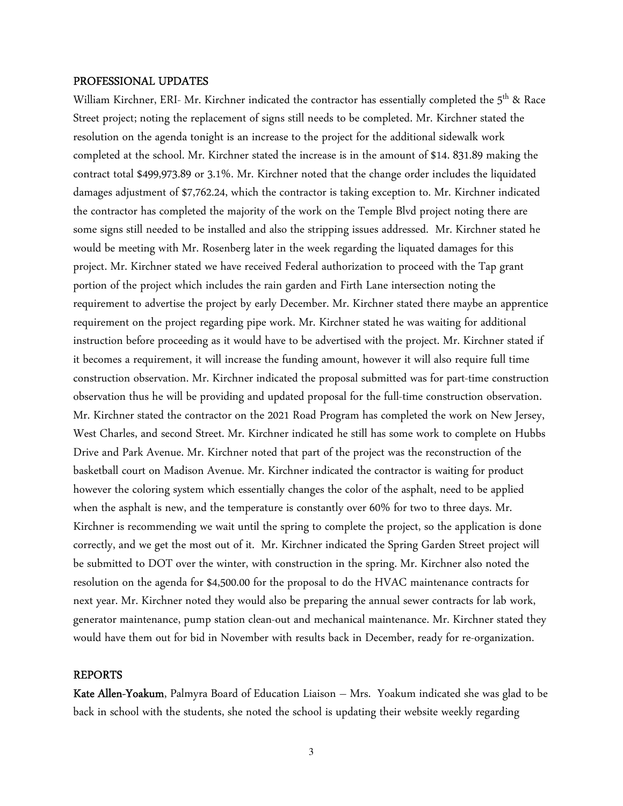#### PROFESSIONAL UPDATES

William Kirchner, ERI- Mr. Kirchner indicated the contractor has essentially completed the 5<sup>th</sup> & Race Street project; noting the replacement of signs still needs to be completed. Mr. Kirchner stated the resolution on the agenda tonight is an increase to the project for the additional sidewalk work completed at the school. Mr. Kirchner stated the increase is in the amount of \$14. 831.89 making the contract total \$499,973.89 or 3.1%. Mr. Kirchner noted that the change order includes the liquidated damages adjustment of \$7,762.24, which the contractor is taking exception to. Mr. Kirchner indicated the contractor has completed the majority of the work on the Temple Blvd project noting there are some signs still needed to be installed and also the stripping issues addressed. Mr. Kirchner stated he would be meeting with Mr. Rosenberg later in the week regarding the liquated damages for this project. Mr. Kirchner stated we have received Federal authorization to proceed with the Tap grant portion of the project which includes the rain garden and Firth Lane intersection noting the requirement to advertise the project by early December. Mr. Kirchner stated there maybe an apprentice requirement on the project regarding pipe work. Mr. Kirchner stated he was waiting for additional instruction before proceeding as it would have to be advertised with the project. Mr. Kirchner stated if it becomes a requirement, it will increase the funding amount, however it will also require full time construction observation. Mr. Kirchner indicated the proposal submitted was for part-time construction observation thus he will be providing and updated proposal for the full-time construction observation. Mr. Kirchner stated the contractor on the 2021 Road Program has completed the work on New Jersey, West Charles, and second Street. Mr. Kirchner indicated he still has some work to complete on Hubbs Drive and Park Avenue. Mr. Kirchner noted that part of the project was the reconstruction of the basketball court on Madison Avenue. Mr. Kirchner indicated the contractor is waiting for product however the coloring system which essentially changes the color of the asphalt, need to be applied when the asphalt is new, and the temperature is constantly over 60% for two to three days. Mr. Kirchner is recommending we wait until the spring to complete the project, so the application is done correctly, and we get the most out of it. Mr. Kirchner indicated the Spring Garden Street project will be submitted to DOT over the winter, with construction in the spring. Mr. Kirchner also noted the resolution on the agenda for \$4,500.00 for the proposal to do the HVAC maintenance contracts for next year. Mr. Kirchner noted they would also be preparing the annual sewer contracts for lab work, generator maintenance, pump station clean-out and mechanical maintenance. Mr. Kirchner stated they would have them out for bid in November with results back in December, ready for re-organization.

#### REPORTS

Kate Allen-Yoakum, Palmyra Board of Education Liaison – Mrs. Yoakum indicated she was glad to be back in school with the students, she noted the school is updating their website weekly regarding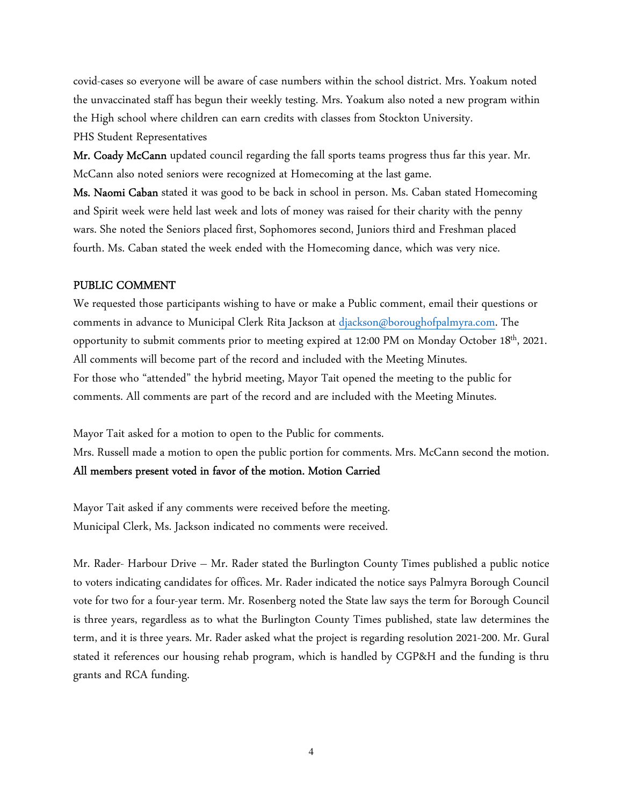covid-cases so everyone will be aware of case numbers within the school district. Mrs. Yoakum noted the unvaccinated staff has begun their weekly testing. Mrs. Yoakum also noted a new program within the High school where children can earn credits with classes from Stockton University. PHS Student Representatives

Mr. Coady McCann updated council regarding the fall sports teams progress thus far this year. Mr. McCann also noted seniors were recognized at Homecoming at the last game.

Ms. Naomi Caban stated it was good to be back in school in person. Ms. Caban stated Homecoming and Spirit week were held last week and lots of money was raised for their charity with the penny wars. She noted the Seniors placed first, Sophomores second, Juniors third and Freshman placed fourth. Ms. Caban stated the week ended with the Homecoming dance, which was very nice.

## PUBLIC COMMENT

We requested those participants wishing to have or make a Public comment, email their questions or comments in advance to Municipal Clerk Rita Jackson at djackson@boroughofpalmyra.com. The opportunity to submit comments prior to meeting expired at 12:00 PM on Monday October 18th, 2021. All comments will become part of the record and included with the Meeting Minutes. For those who "attended" the hybrid meeting, Mayor Tait opened the meeting to the public for comments. All comments are part of the record and are included with the Meeting Minutes.

Mayor Tait asked for a motion to open to the Public for comments. Mrs. Russell made a motion to open the public portion for comments. Mrs. McCann second the motion.

#### All members present voted in favor of the motion. Motion Carried

Mayor Tait asked if any comments were received before the meeting. Municipal Clerk, Ms. Jackson indicated no comments were received.

Mr. Rader- Harbour Drive – Mr. Rader stated the Burlington County Times published a public notice to voters indicating candidates for offices. Mr. Rader indicated the notice says Palmyra Borough Council vote for two for a four-year term. Mr. Rosenberg noted the State law says the term for Borough Council is three years, regardless as to what the Burlington County Times published, state law determines the term, and it is three years. Mr. Rader asked what the project is regarding resolution 2021-200. Mr. Gural stated it references our housing rehab program, which is handled by CGP&H and the funding is thru grants and RCA funding.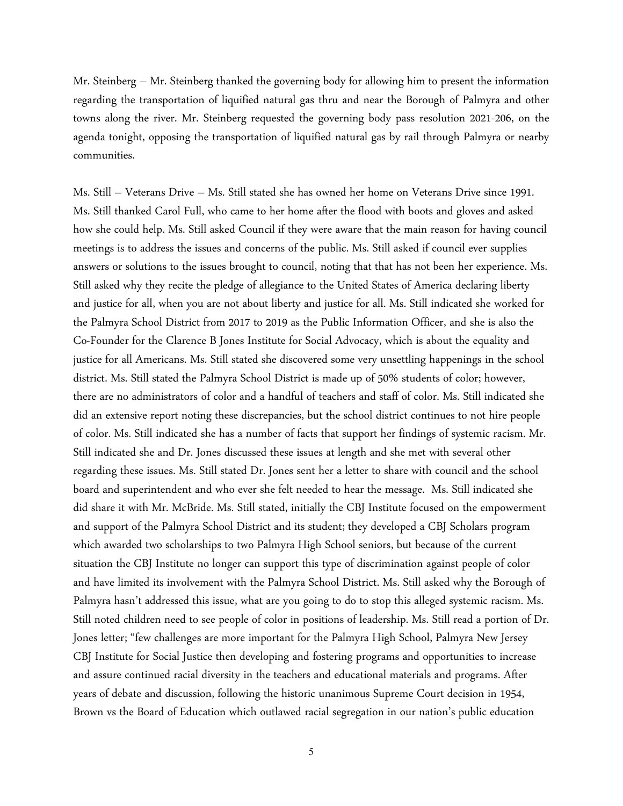Mr. Steinberg – Mr. Steinberg thanked the governing body for allowing him to present the information regarding the transportation of liquified natural gas thru and near the Borough of Palmyra and other towns along the river. Mr. Steinberg requested the governing body pass resolution 2021-206, on the agenda tonight, opposing the transportation of liquified natural gas by rail through Palmyra or nearby communities.

Ms. Still – Veterans Drive – Ms. Still stated she has owned her home on Veterans Drive since 1991. Ms. Still thanked Carol Full, who came to her home after the flood with boots and gloves and asked how she could help. Ms. Still asked Council if they were aware that the main reason for having council meetings is to address the issues and concerns of the public. Ms. Still asked if council ever supplies answers or solutions to the issues brought to council, noting that that has not been her experience. Ms. Still asked why they recite the pledge of allegiance to the United States of America declaring liberty and justice for all, when you are not about liberty and justice for all. Ms. Still indicated she worked for the Palmyra School District from 2017 to 2019 as the Public Information Officer, and she is also the Co-Founder for the Clarence B Jones Institute for Social Advocacy, which is about the equality and justice for all Americans. Ms. Still stated she discovered some very unsettling happenings in the school district. Ms. Still stated the Palmyra School District is made up of 50% students of color; however, there are no administrators of color and a handful of teachers and staff of color. Ms. Still indicated she did an extensive report noting these discrepancies, but the school district continues to not hire people of color. Ms. Still indicated she has a number of facts that support her findings of systemic racism. Mr. Still indicated she and Dr. Jones discussed these issues at length and she met with several other regarding these issues. Ms. Still stated Dr. Jones sent her a letter to share with council and the school board and superintendent and who ever she felt needed to hear the message. Ms. Still indicated she did share it with Mr. McBride. Ms. Still stated, initially the CBJ Institute focused on the empowerment and support of the Palmyra School District and its student; they developed a CBJ Scholars program which awarded two scholarships to two Palmyra High School seniors, but because of the current situation the CBJ Institute no longer can support this type of discrimination against people of color and have limited its involvement with the Palmyra School District. Ms. Still asked why the Borough of Palmyra hasn't addressed this issue, what are you going to do to stop this alleged systemic racism. Ms. Still noted children need to see people of color in positions of leadership. Ms. Still read a portion of Dr. Jones letter; "few challenges are more important for the Palmyra High School, Palmyra New Jersey CBJ Institute for Social Justice then developing and fostering programs and opportunities to increase and assure continued racial diversity in the teachers and educational materials and programs. After years of debate and discussion, following the historic unanimous Supreme Court decision in 1954, Brown vs the Board of Education which outlawed racial segregation in our nation's public education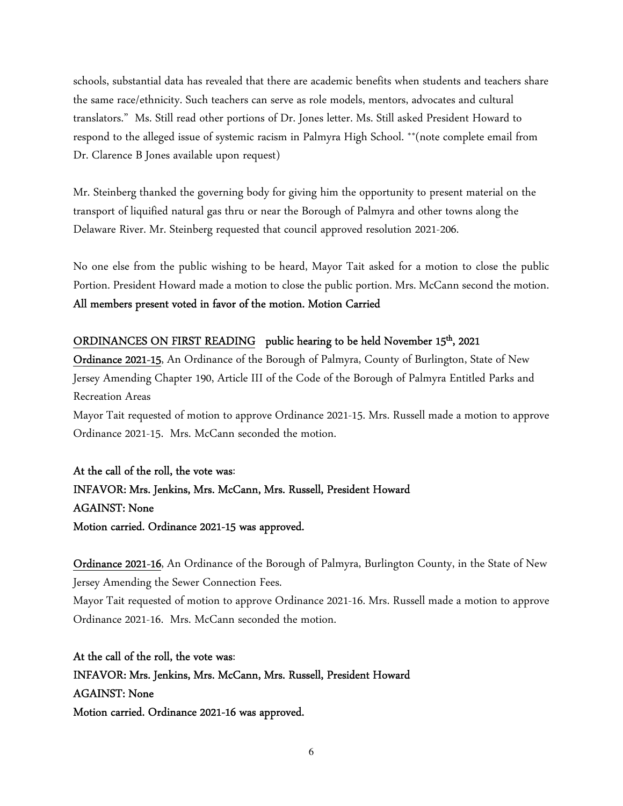schools, substantial data has revealed that there are academic benefits when students and teachers share the same race/ethnicity. Such teachers can serve as role models, mentors, advocates and cultural translators." Ms. Still read other portions of Dr. Jones letter. Ms. Still asked President Howard to respond to the alleged issue of systemic racism in Palmyra High School. \*\*(note complete email from Dr. Clarence B Jones available upon request)

Mr. Steinberg thanked the governing body for giving him the opportunity to present material on the transport of liquified natural gas thru or near the Borough of Palmyra and other towns along the Delaware River. Mr. Steinberg requested that council approved resolution 2021-206.

No one else from the public wishing to be heard, Mayor Tait asked for a motion to close the public Portion. President Howard made a motion to close the public portion. Mrs. McCann second the motion. All members present voted in favor of the motion. Motion Carried

## ORDINANCES ON FIRST READING public hearing to be held November 15<sup>th</sup>, 2021

Ordinance 2021-15, An Ordinance of the Borough of Palmyra, County of Burlington, State of New Jersey Amending Chapter 190, Article III of the Code of the Borough of Palmyra Entitled Parks and Recreation Areas

Mayor Tait requested of motion to approve Ordinance 2021-15. Mrs. Russell made a motion to approve Ordinance 2021-15. Mrs. McCann seconded the motion.

# At the call of the roll, the vote was: INFAVOR: Mrs. Jenkins, Mrs. McCann, Mrs. Russell, President Howard AGAINST: None Motion carried. Ordinance 2021-15 was approved.

Ordinance 2021-16, An Ordinance of the Borough of Palmyra, Burlington County, in the State of New Jersey Amending the Sewer Connection Fees.

Mayor Tait requested of motion to approve Ordinance 2021-16. Mrs. Russell made a motion to approve Ordinance 2021-16. Mrs. McCann seconded the motion.

At the call of the roll, the vote was: INFAVOR: Mrs. Jenkins, Mrs. McCann, Mrs. Russell, President Howard AGAINST: None Motion carried. Ordinance 2021-16 was approved.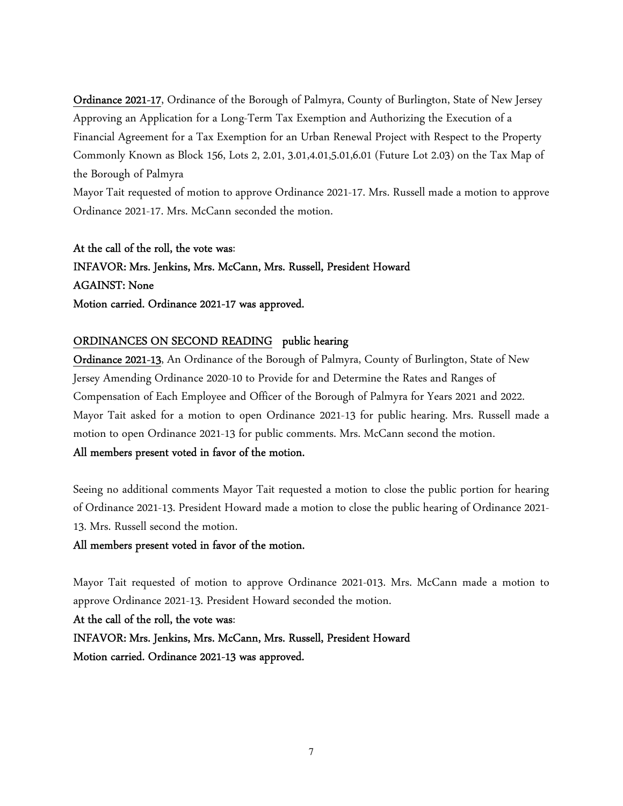Ordinance 2021-17, Ordinance of the Borough of Palmyra, County of Burlington, State of New Jersey Approving an Application for a Long-Term Tax Exemption and Authorizing the Execution of a Financial Agreement for a Tax Exemption for an Urban Renewal Project with Respect to the Property Commonly Known as Block 156, Lots 2, 2.01, 3.01,4.01,5.01,6.01 (Future Lot 2.03) on the Tax Map of the Borough of Palmyra

Mayor Tait requested of motion to approve Ordinance 2021-17. Mrs. Russell made a motion to approve Ordinance 2021-17. Mrs. McCann seconded the motion.

At the call of the roll, the vote was: INFAVOR: Mrs. Jenkins, Mrs. McCann, Mrs. Russell, President Howard AGAINST: None Motion carried. Ordinance 2021-17 was approved.

# ORDINANCES ON SECOND READING public hearing

Ordinance 2021-13, An Ordinance of the Borough of Palmyra, County of Burlington, State of New Jersey Amending Ordinance 2020-10 to Provide for and Determine the Rates and Ranges of Compensation of Each Employee and Officer of the Borough of Palmyra for Years 2021 and 2022. Mayor Tait asked for a motion to open Ordinance 2021-13 for public hearing. Mrs. Russell made a motion to open Ordinance 2021-13 for public comments. Mrs. McCann second the motion. All members present voted in favor of the motion.

Seeing no additional comments Mayor Tait requested a motion to close the public portion for hearing of Ordinance 2021-13. President Howard made a motion to close the public hearing of Ordinance 2021- 13. Mrs. Russell second the motion.

## All members present voted in favor of the motion.

Mayor Tait requested of motion to approve Ordinance 2021-013. Mrs. McCann made a motion to approve Ordinance 2021-13. President Howard seconded the motion.

At the call of the roll, the vote was:

INFAVOR: Mrs. Jenkins, Mrs. McCann, Mrs. Russell, President Howard Motion carried. Ordinance 2021-13 was approved.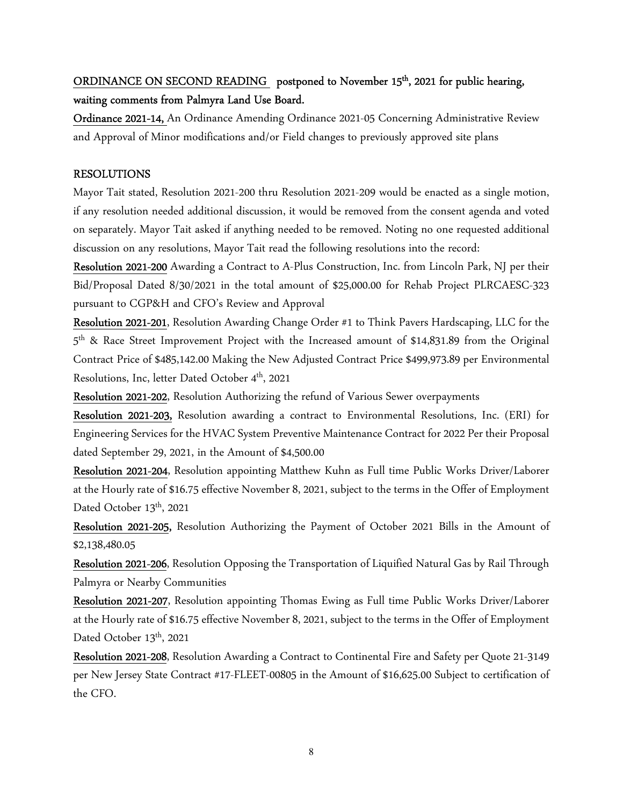# ORDINANCE ON SECOND READING postponed to November 15<sup>th</sup>, 2021 for public hearing, waiting comments from Palmyra Land Use Board.

Ordinance 2021-14, An Ordinance Amending Ordinance 2021-05 Concerning Administrative Review and Approval of Minor modifications and/or Field changes to previously approved site plans

### RESOLUTIONS

Mayor Tait stated, Resolution 2021-200 thru Resolution 2021-209 would be enacted as a single motion, if any resolution needed additional discussion, it would be removed from the consent agenda and voted on separately. Mayor Tait asked if anything needed to be removed. Noting no one requested additional discussion on any resolutions, Mayor Tait read the following resolutions into the record:

Resolution 2021-200 Awarding a Contract to A-Plus Construction, Inc. from Lincoln Park, NJ per their Bid/Proposal Dated 8/30/2021 in the total amount of \$25,000.00 for Rehab Project PLRCAESC-323 pursuant to CGP&H and CFO's Review and Approval

Resolution 2021-201, Resolution Awarding Change Order #1 to Think Pavers Hardscaping, LLC for the 5 th & Race Street Improvement Project with the Increased amount of \$14,831.89 from the Original Contract Price of \$485,142.00 Making the New Adjusted Contract Price \$499,973.89 per Environmental Resolutions, Inc, letter Dated October 4<sup>th</sup>, 2021

Resolution 2021-202, Resolution Authorizing the refund of Various Sewer overpayments

Resolution 2021-203, Resolution awarding a contract to Environmental Resolutions, Inc. (ERI) for Engineering Services for the HVAC System Preventive Maintenance Contract for 2022 Per their Proposal dated September 29, 2021, in the Amount of \$4,500.00

Resolution 2021-204, Resolution appointing Matthew Kuhn as Full time Public Works Driver/Laborer at the Hourly rate of \$16.75 effective November 8, 2021, subject to the terms in the Offer of Employment Dated October 13<sup>th</sup>, 2021

Resolution 2021-205, Resolution Authorizing the Payment of October 2021 Bills in the Amount of \$2,138,480.05

Resolution 2021-206, Resolution Opposing the Transportation of Liquified Natural Gas by Rail Through Palmyra or Nearby Communities

Resolution 2021-207, Resolution appointing Thomas Ewing as Full time Public Works Driver/Laborer at the Hourly rate of \$16.75 effective November 8, 2021, subject to the terms in the Offer of Employment Dated October 13<sup>th</sup>, 2021

Resolution 2021-208, Resolution Awarding a Contract to Continental Fire and Safety per Quote 21-3149 per New Jersey State Contract #17-FLEET-00805 in the Amount of \$16,625.00 Subject to certification of the CFO.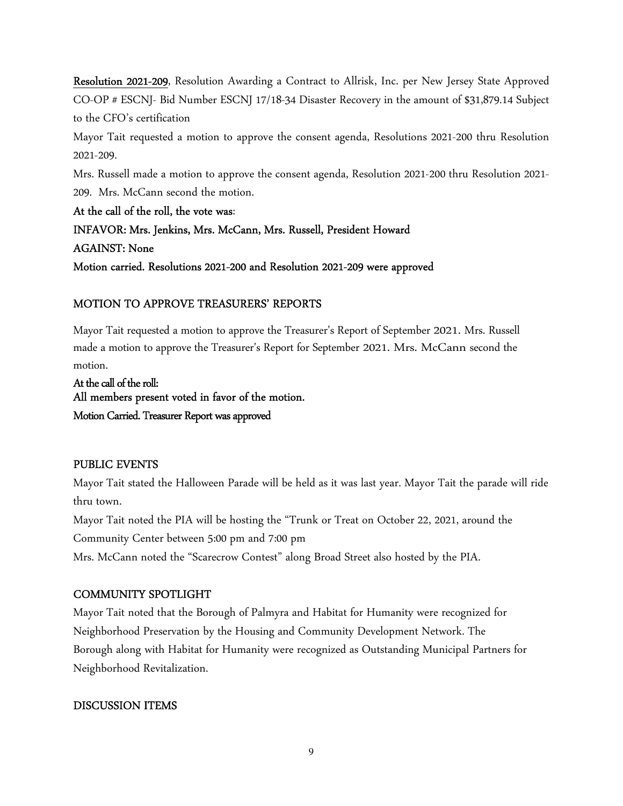Resolution 2021-209, Resolution Awarding a Contract to Allrisk, Inc. per New Jersey State Approved CO-OP # ESCNJ- Bid Number ESCNJ 17/18-34 Disaster Recovery in the amount of \$31,879.14 Subject to the CFO's certification

Mayor Tait requested a motion to approve the consent agenda, Resolutions 2021-200 thru Resolution 2021-209.

Mrs. Russell made a motion to approve the consent agenda, Resolution 2021-200 thru Resolution 2021- 209. Mrs. McCann second the motion.

At the call of the roll, the vote was: INFAVOR: Mrs. Jenkins, Mrs. McCann, Mrs. Russell, President Howard AGAINST: None Motion carried. Resolutions 2021-200 and Resolution 2021-209 were approved

## MOTION TO APPROVE TREASURERS' REPORTS

Mayor Tait requested a motion to approve the Treasurer's Report of September 2021. Mrs. Russell made a motion to approve the Treasurer's Report for September 2021. Mrs. McCann second the motion.

At the call of the roll: All members present voted in favor of the motion. Motion Carried. Treasurer Report was approved

## PUBLIC EVENTS

Mayor Tait stated the Halloween Parade will be held as it was last year. Mayor Tait the parade will ride thru town.

Mayor Tait noted the PIA will be hosting the "Trunk or Treat on October 22, 2021, around the Community Center between 5:00 pm and 7:00 pm

Mrs. McCann noted the "Scarecrow Contest" along Broad Street also hosted by the PIA.

## COMMUNITY SPOTLIGHT

Mayor Tait noted that the Borough of Palmyra and Habitat for Humanity were recognized for Neighborhood Preservation by the Housing and Community Development Network. The Borough along with Habitat for Humanity were recognized as Outstanding Municipal Partners for Neighborhood Revitalization.

## DISCUSSION ITEMS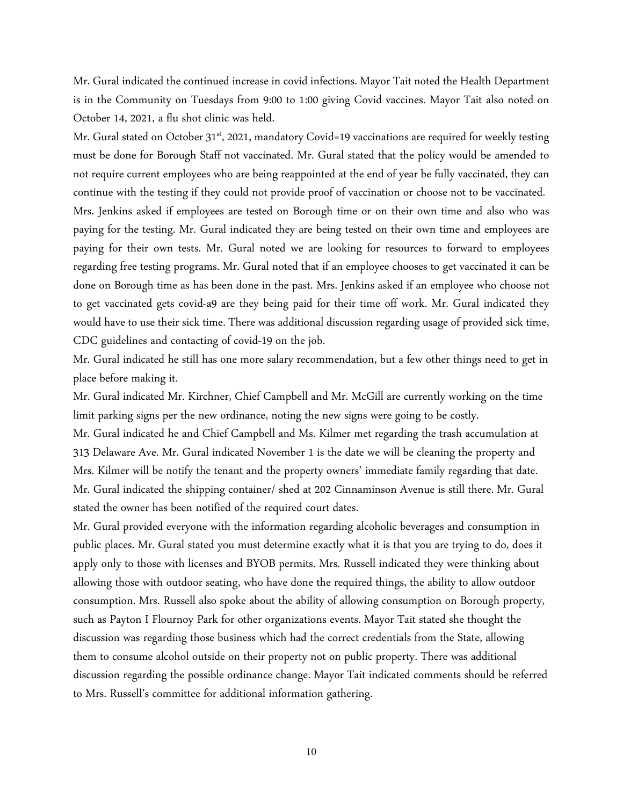Mr. Gural indicated the continued increase in covid infections. Mayor Tait noted the Health Department is in the Community on Tuesdays from 9:00 to 1:00 giving Covid vaccines. Mayor Tait also noted on October 14, 2021, a flu shot clinic was held.

Mr. Gural stated on October 31<sup>st</sup>, 2021, mandatory Covid=19 vaccinations are required for weekly testing must be done for Borough Staff not vaccinated. Mr. Gural stated that the policy would be amended to not require current employees who are being reappointed at the end of year be fully vaccinated, they can continue with the testing if they could not provide proof of vaccination or choose not to be vaccinated. Mrs. Jenkins asked if employees are tested on Borough time or on their own time and also who was paying for the testing. Mr. Gural indicated they are being tested on their own time and employees are paying for their own tests. Mr. Gural noted we are looking for resources to forward to employees regarding free testing programs. Mr. Gural noted that if an employee chooses to get vaccinated it can be done on Borough time as has been done in the past. Mrs. Jenkins asked if an employee who choose not to get vaccinated gets covid-a9 are they being paid for their time off work. Mr. Gural indicated they would have to use their sick time. There was additional discussion regarding usage of provided sick time, CDC guidelines and contacting of covid-19 on the job.

Mr. Gural indicated he still has one more salary recommendation, but a few other things need to get in place before making it.

Mr. Gural indicated Mr. Kirchner, Chief Campbell and Mr. McGill are currently working on the time limit parking signs per the new ordinance, noting the new signs were going to be costly.

Mr. Gural indicated he and Chief Campbell and Ms. Kilmer met regarding the trash accumulation at 313 Delaware Ave. Mr. Gural indicated November 1 is the date we will be cleaning the property and Mrs. Kilmer will be notify the tenant and the property owners' immediate family regarding that date. Mr. Gural indicated the shipping container/ shed at 202 Cinnaminson Avenue is still there. Mr. Gural stated the owner has been notified of the required court dates.

Mr. Gural provided everyone with the information regarding alcoholic beverages and consumption in public places. Mr. Gural stated you must determine exactly what it is that you are trying to do, does it apply only to those with licenses and BYOB permits. Mrs. Russell indicated they were thinking about allowing those with outdoor seating, who have done the required things, the ability to allow outdoor consumption. Mrs. Russell also spoke about the ability of allowing consumption on Borough property, such as Payton I Flournoy Park for other organizations events. Mayor Tait stated she thought the discussion was regarding those business which had the correct credentials from the State, allowing them to consume alcohol outside on their property not on public property. There was additional discussion regarding the possible ordinance change. Mayor Tait indicated comments should be referred to Mrs. Russell's committee for additional information gathering.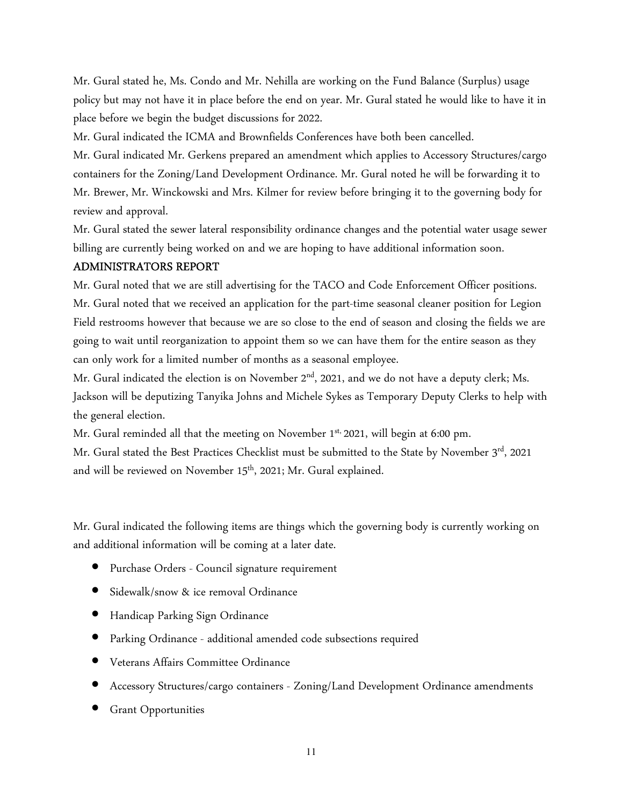Mr. Gural stated he, Ms. Condo and Mr. Nehilla are working on the Fund Balance (Surplus) usage policy but may not have it in place before the end on year. Mr. Gural stated he would like to have it in place before we begin the budget discussions for 2022.

Mr. Gural indicated the ICMA and Brownfields Conferences have both been cancelled.

Mr. Gural indicated Mr. Gerkens prepared an amendment which applies to Accessory Structures/cargo containers for the Zoning/Land Development Ordinance. Mr. Gural noted he will be forwarding it to Mr. Brewer, Mr. Winckowski and Mrs. Kilmer for review before bringing it to the governing body for review and approval.

Mr. Gural stated the sewer lateral responsibility ordinance changes and the potential water usage sewer billing are currently being worked on and we are hoping to have additional information soon.

### ADMINISTRATORS REPORT

Mr. Gural noted that we are still advertising for the TACO and Code Enforcement Officer positions. Mr. Gural noted that we received an application for the part-time seasonal cleaner position for Legion Field restrooms however that because we are so close to the end of season and closing the fields we are going to wait until reorganization to appoint them so we can have them for the entire season as they can only work for a limited number of months as a seasonal employee.

Mr. Gural indicated the election is on November 2<sup>nd</sup>, 2021, and we do not have a deputy clerk; Ms. Jackson will be deputizing Tanyika Johns and Michele Sykes as Temporary Deputy Clerks to help with the general election.

Mr. Gural reminded all that the meeting on November 1<sup>st,</sup> 2021, will begin at 6:00 pm.

Mr. Gural stated the Best Practices Checklist must be submitted to the State by November 3<sup>rd</sup>, 2021 and will be reviewed on November 15<sup>th</sup>, 2021; Mr. Gural explained.

Mr. Gural indicated the following items are things which the governing body is currently working on and additional information will be coming at a later date.

- Purchase Orders Council signature requirement
- Sidewalk/snow & ice removal Ordinance
- Handicap Parking Sign Ordinance
- Parking Ordinance additional amended code subsections required
- Veterans Affairs Committee Ordinance
- Accessory Structures/cargo containers Zoning/Land Development Ordinance amendments
- Grant Opportunities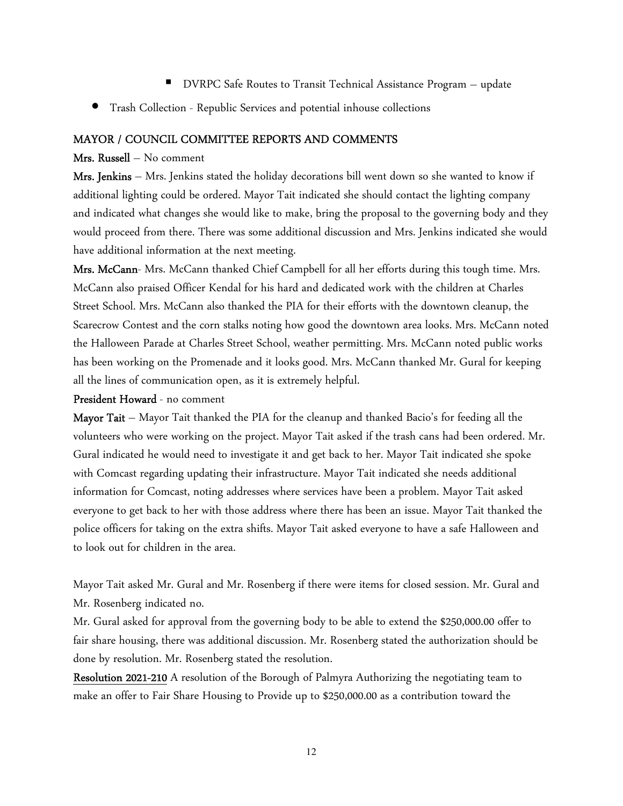- DVRPC Safe Routes to Transit Technical Assistance Program update
- Trash Collection Republic Services and potential inhouse collections

#### MAYOR / COUNCIL COMMITTEE REPORTS AND COMMENTS

#### Mrs. Russell – No comment

Mrs. Jenkins – Mrs. Jenkins stated the holiday decorations bill went down so she wanted to know if additional lighting could be ordered. Mayor Tait indicated she should contact the lighting company and indicated what changes she would like to make, bring the proposal to the governing body and they would proceed from there. There was some additional discussion and Mrs. Jenkins indicated she would have additional information at the next meeting.

Mrs. McCann- Mrs. McCann thanked Chief Campbell for all her efforts during this tough time. Mrs. McCann also praised Officer Kendal for his hard and dedicated work with the children at Charles Street School. Mrs. McCann also thanked the PIA for their efforts with the downtown cleanup, the Scarecrow Contest and the corn stalks noting how good the downtown area looks. Mrs. McCann noted the Halloween Parade at Charles Street School, weather permitting. Mrs. McCann noted public works has been working on the Promenade and it looks good. Mrs. McCann thanked Mr. Gural for keeping all the lines of communication open, as it is extremely helpful.

#### President Howard - no comment

Mayor Tait – Mayor Tait thanked the PIA for the cleanup and thanked Bacio's for feeding all the volunteers who were working on the project. Mayor Tait asked if the trash cans had been ordered. Mr. Gural indicated he would need to investigate it and get back to her. Mayor Tait indicated she spoke with Comcast regarding updating their infrastructure. Mayor Tait indicated she needs additional information for Comcast, noting addresses where services have been a problem. Mayor Tait asked everyone to get back to her with those address where there has been an issue. Mayor Tait thanked the police officers for taking on the extra shifts. Mayor Tait asked everyone to have a safe Halloween and to look out for children in the area.

Mayor Tait asked Mr. Gural and Mr. Rosenberg if there were items for closed session. Mr. Gural and Mr. Rosenberg indicated no.

Mr. Gural asked for approval from the governing body to be able to extend the \$250,000.00 offer to fair share housing, there was additional discussion. Mr. Rosenberg stated the authorization should be done by resolution. Mr. Rosenberg stated the resolution.

Resolution 2021-210 A resolution of the Borough of Palmyra Authorizing the negotiating team to make an offer to Fair Share Housing to Provide up to \$250,000.00 as a contribution toward the